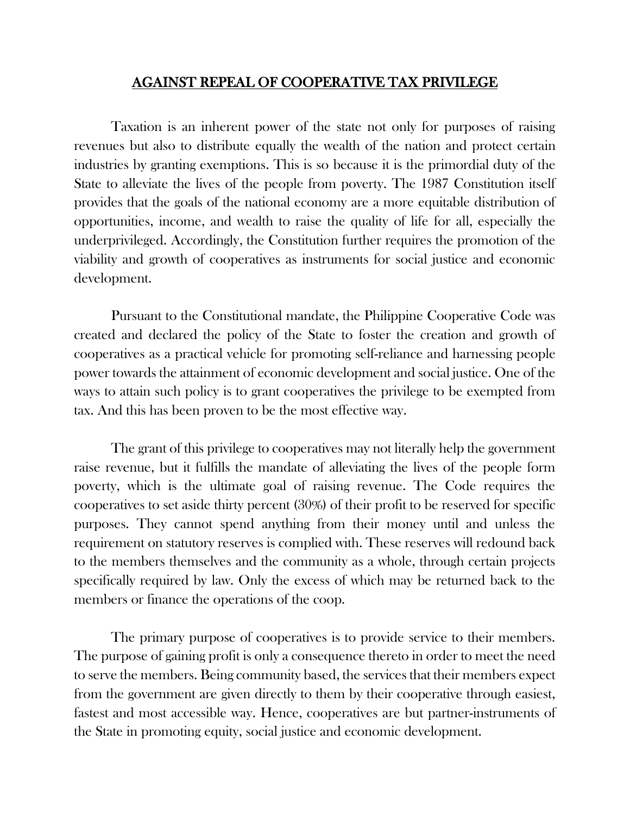## AGAINST REPEAL OF COOPERATIVE TAX PRIVILEGE

Taxation is an inherent power of the state not only for purposes of raising revenues but also to distribute equally the wealth of the nation and protect certain industries by granting exemptions. This is so because it is the primordial duty of the State to alleviate the lives of the people from poverty. The 1987 Constitution itself provides that the goals of the national economy are a more equitable distribution of opportunities, income, and wealth to raise the quality of life for all, especially the underprivileged. Accordingly, the Constitution further requires the promotion of the viability and growth of cooperatives as instruments for social justice and economic development.

Pursuant to the Constitutional mandate, the Philippine Cooperative Code was created and declared the policy of the State to foster the creation and growth of cooperatives as a practical vehicle for promoting self-reliance and harnessing people power towards the attainment of economic development and social justice. One of the ways to attain such policy is to grant cooperatives the privilege to be exempted from tax. And this has been proven to be the most effective way.

The grant of this privilege to cooperatives may not literally help the government raise revenue, but it fulfills the mandate of alleviating the lives of the people form poverty, which is the ultimate goal of raising revenue. The Code requires the cooperatives to set aside thirty percent (30%) of their profit to be reserved for specific purposes. They cannot spend anything from their money until and unless the requirement on statutory reserves is complied with. These reserves will redound back to the members themselves and the community as a whole, through certain projects specifically required by law. Only the excess of which may be returned back to the members or finance the operations of the coop.

The primary purpose of cooperatives is to provide service to their members. The purpose of gaining profit is only a consequence thereto in order to meet the need to serve the members. Being community based, the services that their members expect from the government are given directly to them by their cooperative through easiest, fastest and most accessible way. Hence, cooperatives are but partner-instruments of the State in promoting equity, social justice and economic development.